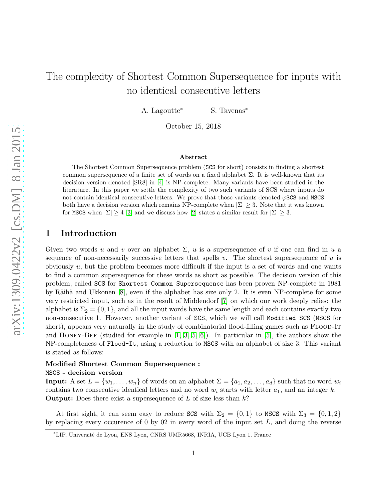# The complexity of Shortest Common Supersequence for inputs with no identical consecutive letters

A. Lagoutte<sup>∗</sup> S. Tavenas<sup>∗</sup>

October 15, 2018

#### Abstract

The Shortest Common Supersequence problem (SCS for short) consists in finding a shortest common supersequence of a finite set of words on a fixed alphabet  $\Sigma$ . It is well-known that its decision version denoted [SR8] in [\[4\]](#page-6-0) is NP-complete. Many variants have been studied in the literature. In this paper we settle the complexity of two such variants of SCS where inputs do not contain identical consecutive letters. We prove that those variants denoted  $\varphi$ SCS and MSCS both have a decision version which remains NP-complete when  $|\Sigma| \geq 3$ . Note that it was known for MSCS when  $|\Sigma| \geq 4$  [\[3\]](#page-6-1) and we discuss how [\[2\]](#page-6-2) states a similar result for  $|\Sigma| \geq 3$ .

# 1 Introduction

Given two words u and v over an alphabet  $\Sigma$ , u is a supersequence of v if one can find in u a sequence of non-necessarily successive letters that spells v. The shortest supersequence of  $u$  is obviously  $u$ , but the problem becomes more difficult if the input is a set of words and one wants to find a common supersequence for these words as short as possible. The decision version of this problem, called SCS for Shortest Common Supersequence has been proven NP-complete in 1981 by Räihä and Ukkonen  $[8]$ , even if the alphabet has size only 2. It is even NP-complete for some very restricted input, such as in the result of Middendorf [\[7\]](#page-6-4) on which our work deeply relies: the alphabet is  $\Sigma_2 = \{0, 1\}$ , and all the input words have the same length and each contains exactly two non-consecutive 1. However, another variant of SCS, which we will call Modified SCS (MSCS for short), appears very naturally in the study of combinatorial flood-filling games such as FLOOD-IT and HONEY-BEE (studied for example in  $[1, 3, 5, 6]$  $[1, 3, 5, 6]$  $[1, 3, 5, 6]$  $[1, 3, 5, 6]$ ). In particular in [\[5\]](#page-6-6), the authors show the NP-completeness of Flood-It, using a reduction to MSCS with an alphabet of size 3. This variant is stated as follows:

#### Modified Shortest Common Supersequence : MSCS - decision version

**Input:** A set  $L = \{w_1, \ldots, w_n\}$  of words on an alphabet  $\Sigma = \{a_1, a_2, \ldots, a_d\}$  such that no word  $w_i$ contains two consecutive identical letters and no word  $w_i$  starts with letter  $a_1$ , and an integer k. **Output:** Does there exist a supersequence of  $L$  of size less than  $k$ ?

At first sight, it can seem easy to reduce SCS with  $\Sigma_2 = \{0,1\}$  to MSCS with  $\Sigma_3 = \{0,1,2\}$ by replacing every occurence of 0 by 02 in every word of the input set  $L$ , and doing the reverse

<sup>∗</sup>LIP, Universit´e de Lyon, ENS Lyon, CNRS UMR5668, INRIA, UCB Lyon 1, France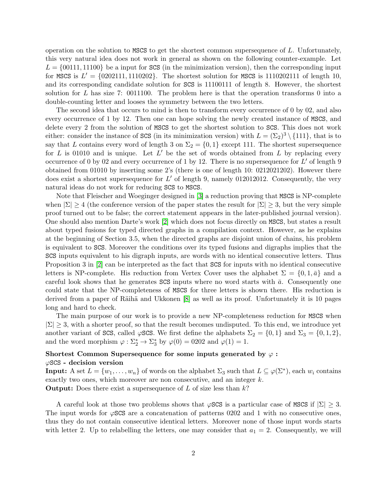operation on the solution to MSCS to get the shortest common supersequence of L. Unfortunately, this very natural idea does not work in general as shown on the following counter-example. Let  $L = \{00111, 11100\}$  be a input for SCS (in the minimization version), then the corresponding input for MSCS is  $L' = \{0202111, 1110202\}$ . The shortest solution for MSCS is 1110202111 of length 10, and its corresponding candidate solution for SCS is 11100111 of length 8. However, the shortest solution for L has size 7: 0011100. The problem here is that the operation transforms 0 into a double-counting letter and looses the symmetry between the two letters.

The second idea that occurs to mind is then to transform every occurrence of 0 by 02, and also every occurrence of 1 by 12. Then one can hope solving the newly created instance of MSCS, and delete every 2 from the solution of MSCS to get the shortest solution to SCS. This does not work either: consider the instance of SCS (in its minimization version) with  $L = (\Sigma_2)^3 \setminus \{111\}$ , that is to say that L contains every word of length 3 on  $\Sigma_2 = \{0,1\}$  except 111. The shortest supersequence for L is 01010 and is unique. Let  $L'$  be the set of words obtained from L by replacing every occurrence of 0 by 02 and every occurrence of 1 by 12. There is no supersequence for  $L'$  of length 9 obtained from 01010 by inserting some 2's (there is one of length 10: 0212021202). However there does exist a shortest supersequence for  $L'$  of length 9, namely 012012012. Consequently, the very natural ideas do not work for reducing SCS to MSCS.

Note that Fleischer and Woeginger designed in [\[3\]](#page-6-1) a reduction proving that MSCS is NP-complete when  $|\Sigma| \geq 4$  (the conference version of the paper states the result for  $|\Sigma| \geq 3$ , but the very simple proof turned out to be false; the correct statement appears in the later-published journal version). One should also mention Darte's work [\[2\]](#page-6-2) which does not focus directly on MSCS, but states a result about typed fusions for typed directed graphs in a compilation context. However, as he explains at the beginning of Section 3.5, when the directed graphs are disjoint union of chains, his problem is equivalent to SCS. Moreover the conditions over its typed fusions and digraphs implies that the SCS inputs equivalent to his digraph inputs, are words with no identical consecutive letters. Thus Proposition 3 in [\[2\]](#page-6-2) can be interpreted as the fact that SCS for inputs with no identical consecutive letters is NP-complete. His reduction from Vertex Cover uses the alphabet  $\Sigma = \{0, 1, \bar{a}\}\$  and a careful look shows that he generates SCS inputs where no word starts with  $\bar{a}$ . Consequently one could state that the NP-completeness of MSCS for three letters is shown there. His reduction is derived from a paper of Räihä and Ukkonen [\[8\]](#page-6-3) as well as its proof. Unfortunately it is 10 pages long and hard to check.

The main purpose of our work is to provide a new NP-completeness reduction for MSCS when  $|\Sigma| \geq 3$ , with a shorter proof, so that the result becomes undisputed. To this end, we introduce yet another variant of SCS, called  $\varphi$ SCS. We first define the alphabets  $\Sigma_2 = \{0, 1\}$  and  $\Sigma_3 = \{0, 1, 2\}$ , and the word morphism  $\varphi : \Sigma_2^* \to \Sigma_3^*$  by  $\varphi(0) = 0202$  and  $\varphi(1) = 1$ .

### Shortest Common Supersequence for some inputs generated by  $\varphi$ :  $\varphi$ SCS - decision version

**Input:** A set  $L = \{w_1, \ldots, w_n\}$  of words on the alphabet  $\Sigma_3$  such that  $L \subseteq \varphi(\Sigma^*)$ , each  $w_i$  contains exactly two ones, which moreover are non consecutive, and an integer k. **Output:** Does there exist a supersequence of L of size less than  $k$ ?

A careful look at those two problems shows that  $\varphi$ SCS is a particular case of MSCS if  $|\Sigma| \geq 3$ . The input words for  $\varphi$ SCS are a concatenation of patterns 0202 and 1 with no consecutive ones, thus they do not contain consecutive identical letters. Moreover none of those input words starts with letter 2. Up to relabelling the letters, one may consider that  $a_1 = 2$ . Consequently, we will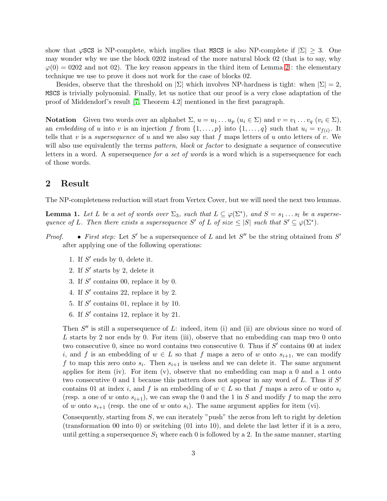show that  $\varphi$ SCS is NP-complete, which implies that MSCS is also NP-complete if  $|\Sigma| \geq 3$ . One may wonder why we use the block 0202 instead of the more natural block 02 (that is to say, why  $\varphi(0) = 0202$  and not 02). The key reason appears in the third item of Lemma [2](#page-3-0) : the elementary technique we use to prove it does not work for the case of blocks 02.

Besides, observe that the threshold on  $|\Sigma|$  which involves NP-hardness is tight: when  $|\Sigma| = 2$ , MSCS is trivially polynomial. Finally, let us notice that our proof is a very close adaptation of the proof of Middendorf's result [\[7,](#page-6-4) Theorem 4.2] mentioned in the first paragraph.

**Notation** Given two words over an alphabet  $\Sigma$ ,  $u = u_1 \dots u_p$   $(u_i \in \Sigma)$  and  $v = v_1 \dots v_q$   $(v_i \in \Sigma)$ , an *embedding* of u into v is an injection f from  $\{1, \ldots, p\}$  into  $\{1, \ldots, q\}$  such that  $u_i = v_{f(i)}$ . It tells that v is a *supersequence* of u and we also say that f maps letters of u onto letters of v. We will also use equivalently the terms *pattern*, *block* or *factor* to designate a sequence of consecutive letters in a word. A supersequence *for a set of words* is a word which is a supersequence for each of those words.

## 2 Result

The NP-completeness reduction will start from Vertex Cover, but we will need the next two lemmas.

<span id="page-2-0"></span>**Lemma 1.** Let L be a set of words over  $\Sigma_3$ , such that  $L \subseteq \varphi(\Sigma^*)$ , and  $S = s_1 \dots s_l$  be a superse*quence of* L. Then there exists a supersequence S' of L of size  $\leq |S|$  such that  $S' \subseteq \varphi(\Sigma^*)$ .

- *Proof. First step:* Let S' be a supersequence of L and let S'' be the string obtained from S'' after applying one of the following operations:
	- 1. If  $S'$  ends by 0, delete it.
	- 2. If  $S'$  starts by 2, delete it
	- 3. If  $S'$  contains 00, replace it by 0.
	- 4. If  $S'$  contains 22, replace it by 2.
	- 5. If  $S'$  contains 01, replace it by 10.
	- 6. If  $S'$  contains 12, replace it by 21.

Then  $S''$  is still a supersequence of L: indeed, item (i) and (ii) are obvious since no word of L starts by 2 nor ends by 0. For item (iii), observe that no embedding can map two 0 onto two consecutive 0, since no word contains two consecutive 0. Thus if  $S'$  contains 00 at index i, and f is an embedding of  $w \in L$  so that f maps a zero of w onto  $s_{i+1}$ , we can modify f to map this zero onto  $s_i$ . Then  $s_{i+1}$  is useless and we can delete it. The same argument applies for item (iv). For item  $(v)$ , observe that no embedding can map a 0 and a 1 onto two consecutive  $\overline{0}$  and 1 because this pattern does not appear in any word of L. Thus if  $S'$ contains 01 at index i, and f is an embedding of  $w \in L$  so that f maps a zero of w onto  $s_i$ (resp. a one of w onto  $s_{i+1}$ ), we can swap the 0 and the 1 in S and modify f to map the zero of w onto  $s_{i+1}$  (resp. the one of w onto  $s_i$ ). The same argument applies for item (vi).

Consequently, starting from  $S$ , we can iterately "push" the zeros from left to right by deletion (transformation 00 into 0) or switching (01 into 10), and delete the last letter if it is a zero, until getting a supersequence  $S_1$  where each 0 is followed by a 2. In the same manner, starting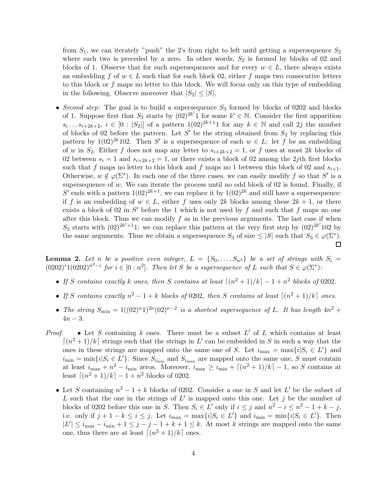from  $S_1$ , we can iterately "push" the 2's from right to left until getting a supersequence  $S_2$ where each two is preceded by a zero. In other words,  $S_2$  is formed by blocks of 02 and blocks of 1. Observe that for such supersequences and for every  $w \in L$ , there always exists an embedding f of  $w \in L$  such that for each block 02, either f maps two consecutive letters to this block or  $f$  maps no letter to this block. We will focus only on this type of embedding in the following. Observe moreover that  $|S_2| \leq |S|$ .

• *Second step:* The goal is to build a supersequence  $S_3$  formed by blocks of 0202 and blocks of 1. Suppose first that  $S_2$  starts by  $(02)^{2k'}$  for some  $k' \in \mathbb{N}$ . Consider the first apparition  $s_i \ldots s_{i+2k+2}, i \in [0 : |S_2|]$  of a pattern  $1(02)^{2k+1}1$  for any  $k \in \mathbb{N}$  and call  $2j$  the number of blocks of 02 before the pattern. Let S' be the string obtained from  $S_2$  by replacing this pattern by 1(02)<sup>2k</sup>102. Then S' is a supersequence of each  $w \in L$ : let f be an embedding of w in  $S_2$ . Either f does not map any letter to  $s_{i+2k+2} = 1$ , or f uses at most 2k blocks of 02 between  $s_i = 1$  and  $s_{i+2k+2} = 1$ , or there exists a block of 02 among the 2jth first blocks such that f maps no letter to this block and f maps no 1 between this block of 02 and  $s_{i+1}$ . Otherwise,  $w \notin \varphi(\Sigma^*)$ . In each one of the three cases, we can easily modify f so that S' is a supersequence of  $w$ . We can iterate the process until no odd block of 02 is found. Finally, if S' ends with a pattern  $1(02)^{2k+1}$ , we can replace it by  $1(02)^{2k}$  and still have a supersequence: if f is an embedding of  $w \in L$ , either f uses only 2k blocks among these  $2k + 1$ , or there exists a block of 02 in  $S'$  before the 1 which is not used by f and such that f maps no one after this block. Thus we can modify  $f$  as in the previous arguments. The last case if when  $S_2$  starts with  $(02)^{2k'+1}1$ : we can replace this pattern at the very first step by  $(02)^{2k'}102$  by the same arguments. Thus we obtain a supersequence  $S_3$  of size  $\leq |S|$  such that  $S_3 \in \varphi(\Sigma^*)$ .

<span id="page-3-0"></span>**Lemma 2.** Let *n* be a positive even integer,  $L = \{S_0, \ldots, S_{n^2}\}\$ be a set of strings with  $S_i =$  $(0202)^{i}1(0202)^{n^{2}-i}$  *for*  $i \in [0:n^{2}]$ *. Then let* S *be a supersequence of* L *such that*  $S \in \varphi(\Sigma^{*})$ *:* 

- If S contains exactly k ones, then S contains at least  $\lceil (n^2+1)/k \rceil 1 + n^2$  blocks of 0202.
- If S contains exactly  $n^2 1 + k$  blocks of 0202, then S contains at least  $\lceil (n^2 + 1)/k \rceil$  ones.
- *The string*  $S_{\min} = 1((02)^n 1)^{2n} (02)^{n-2}$  *is a shortest supersequence of* L. It has length  $4n^2 +$  $4n - 3$ .
- *Proof.* Let S containing k ones. There must be a subset  $L'$  of L which contains at least  $\lceil (n^2+1)/k \rceil$  strings such that the strings in L' can be embedded in S in such a way that the ones in these strings are mapped onto the same one of S. Let  $i_{\max} = \max\{i|S_i \in L'\}$  and  $i_{\min} = \min\{i|S_i \in L'\}$ . Since  $S_{i_{\min}}$  and  $S_{i_{\max}}$  are mapped onto the same one, S must contain at least  $i_{\text{max}} + n^2 - i_{\text{min}}$  zeros. Moreover,  $i_{\text{max}} \ge i_{\text{min}} + \lceil (n^2 + 1)/k \rceil - 1$ , so S contains at least  $\lceil (n^2 + 1)/k \rceil - 1 + n^2$  blocks of 0202.
	- Let S containing  $n^2 1 + k$  blocks of 0202. Consider a one in S and let L' be the subset of L such that the one in the strings of  $L'$  is mapped onto this one. Let j be the number of blocks of 0202 before this one in S. Then  $S_i \in L'$  only if  $i \leq j$  and  $n^2 - i \leq n^2 - 1 + k - j$ , i.e. only if  $j + 1 - k \leq i \leq j$ . Let  $i_{\max} = \max\{i | S_i \in L'\}$  and  $i_{\min} = \min\{i | S_i \in L'\}$ . Then  $|L'| \leq i_{\max} - i_{\min} + 1 \leq j - j - 1 + k + 1 \leq k$ . At most k strings are mapped onto the same one, thus there are at least  $\lceil (n^2 + 1)/k \rceil$  ones.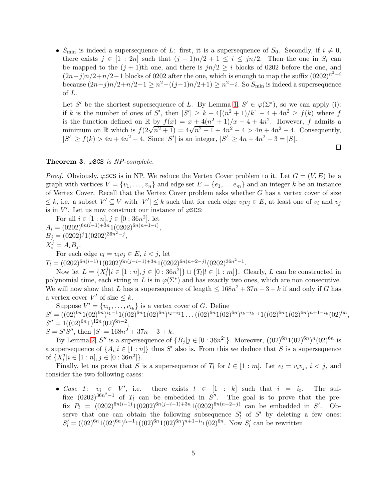•  $S_{\text{min}}$  is indeed a supersequence of L: first, it is a supersequence of  $S_0$ . Secondly, if  $i \neq 0$ , there exists  $j \in [1:2n]$  such that  $(j-1)n/2 + 1 \le i \le jn/2$ . Then the one in  $S_i$  can be mapped to the  $(j + 1)$ th one, and there is  $jn/2 \geq i$  blocks of 0202 before the one, and  $(2n-j)n/2+n/2-1$  blocks of 0202 after the one, which is enough to map the suffix  $(0202)^{n^2-i}$ because  $(2n-j)n/2+n/2-1 \geq n^2-((j-1)n/2+1) \geq n^2-i$ . So  $S_{\text{min}}$  is indeed a supersequence of L.

Let S' be the shortest supersequence of L. By Lemma [1,](#page-2-0)  $S' \in \varphi(\Sigma^*)$ , so we can apply (i): if k is the number of ones of S', then  $|S'| \ge k + 4\lceil (n^2 + 1)/k \rceil - 4 + 4n^2 \ge f(k)$  where f is the function defined on R by  $f(x) = x + 4(n^2 + 1)/x - 4 + 4n^2$ . However, f admits a minimum on R which is  $f(2\sqrt{n^2+1}) = 4\sqrt{n^2+1} + 4n^2 - 4 > 4n + 4n^2 - 4$ . Consequently,  $|S'| \ge f(k) > 4n + 4n^2 - 4$ . Since  $|S'|$  is an integer,  $|S'| \ge 4n + 4n^2 - 3 = |S|$ .

 $\Box$ 

#### Theorem 3. ϕSCS *is NP-complete.*

*Proof.* Obviously,  $\varphi$ SCS is in NP. We reduce the Vertex Cover problem to it. Let  $G = (V, E)$  be a graph with vertices  $V = \{v_1, \ldots, v_n\}$  and edge set  $E = \{e_1, \ldots e_m\}$  and an integer k be an instance of Vertex Cover. Recall that the Vertex Cover problem asks whether G has a vertex cover of size  $\leq k$ , i.e. a subset  $V' \subseteq V$  with  $|V'| \leq k$  such that for each edge  $v_i v_j \in E$ , at least one of  $v_i$  and  $v_j$ is in  $V'$ . Let us now construct our instance of  $\varphi$ SCS:

For all  $i \in [1:n], j \in [0:36n^2],$  let  $A_i = (0202)^{6n(i-1)+3n} 1(0202)^{6n(n+1-i)},$  $B_j = (0202)^j 1(0202)^{36n^2 - j},$  $X_i^j = A_i B_j.$ 

For each edge  $e_l = v_i v_j \in E$ ,  $i < j$ , let

 $T_l = (0202)^{6n(i-1)}1(0202)^{6n(j-i-1)+3n}1(0202)^{6n(n+2-j)}(0202)^{36n^2-1}.$ 

Now let  $L = \{X_i^j\}$  $i \in [1:n], j \in [0:36n^2] \} \cup \{T_l | l \in [1:m] \}.$  Clearly, L can be constructed in polynomial time, each string in L is in  $\varphi(\Sigma^*)$  and has exactly two ones, which are non consecutive. We will now show that L has a supersequence of length  $\leq 168n^2 + 37n - 3 + k$  if and only if G has a vertex cover  $V'$  of size  $\leq k$ .

Suppose  $V' = \{v_{i_1}, \ldots, v_{i_k}\}\$ is a vertex cover of G. Define  $S' = ((02)^{6n}1(02)^{6n})^{i_1-1}1((02)^{6n}1(02)^{6n})^{i_2-i_1}1\ldots((02)^{6n}1(02)^{6n})^{i_k-i_{k-1}}1((02)^{6n}1(02)^{6n})^{n+1-i_k}(02)^{6n},$  $S'' = 1((02)^{6n} 1)^{12n} (02)^{6n-2},$  $S = S'\overline{S''}$ , then  $|S| = 168n^2 + 37n - 3 + k$ .

By Lemma [2,](#page-3-0) S'' is a supersequence of  ${B_j | j \in [0:36n^2] }$ . Moreover,  $((02)^{6n}1(02)^{6n})^n(02)^{6n}$  is a supersequence of  $\{A_i | i \in [1:n]\}$  thus S' also is. From this we deduce that S is a supersequence of  $\{X_i^j$  $i$ <sup>j</sup> $|i \in [1:n], j \in [0:36n^2]$ .

Finally, let us prove that S is a supersequence of  $T_l$  for  $l \in [1:m]$ . Let  $e_l = v_i v_j$ ,  $i < j$ , and consider the two following cases:

• *Case* 1:  $v_i \in V'$ there exists  $t \in [1 : k]$  such that  $i = i_t$ . . The suffixe  $(0.202)^{36n^2-1}$  of  $T_l$  can be embedded in  $S''$ . The goal is to prove that the prefix  $P_l = (0.0202)^{6n(i-1)} 1 (0.0202)^{6n(j-i-1)+3n} 1 (0.0202)^{6n(n+2-j)}$  can be embedded in S'. Observe that one can obtain the following subsequence  $S'_{l}$  $\int_l$  of  $S'$  by deleting a few ones:  $S'_{l} = ((02)^{6n}1(02)^{6n})^{i_{t}-1}1((02)^{6n}1(02)^{6n})^{n+1-i_{t_1}}(02)^{6n}$ . Now  $S'_{l}$  $\ell$  can be rewritten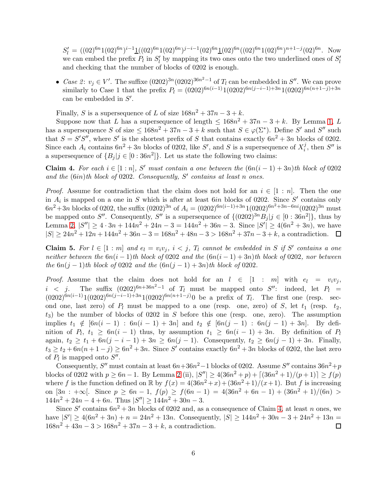$S'_{l} = ((02)^{6n}1(02)^{6n})^{i-1}\underline{1}((02)^{6n}1(02)^{6n})^{j-i-1}(02)^{6n}\underline{1}(02)^{6n}((02)^{6n}1(02)^{6n})^{n+1-j}(02)^{6n}$ . Now we can embed the prefix  $P_l$  in  $S_l'$  $\mathcal{L}_l'$  by mapping its two ones onto the two underlined ones of  $S_l'$ l and checking that the number of blocks of 0202 is enough.

• *Case 2*:  $v_j \in V'$ . The suffixe  $(0202)^{3n} (0202)^{36n^2-1}$  of  $T_l$  can be embedded in  $S''$ . We can prove similarly to Case 1 that the prefix  $P_l = (0.0202)^{6n(i-1)}1(0202)^{6n(j-i-1)+3n}1(0202)^{6n(n+1-j)+3n}$ can be embedded in  $S'$ .

Finally, S is a supersequence of L of size  $168n^2 + 37n - 3 + k$ .

Suppose now that L has a supersequence of length  $\leq 168n^2 + 37n - 3 + k$ . By Lemma [1,](#page-2-0) L has a supersequence S of size  $\leq 168n^2 + 37n - 3 + k$  such that  $S \in \varphi(\Sigma^*)$ . Define S' and S'' such that  $S = S'S''$ , where S' is the shortest prefix of S that contains exactly  $6n^2 + 3n$  blocks of 0202. Since each  $A_i$  contains  $6n^2 + 3n$  blocks of 0202, like S', and S is a supersequence of  $X_i^j$  $i$ <sup>*j*</sup>, then  $S''$  is a supersequence of  ${B_j | j \in [0:36n^2] }$ . Let us state the following two claims:

<span id="page-5-0"></span>Claim 4. For each  $i \in [1:n]$ , S' must contain a one between the  $(6n(i − 1) + 3n)$ th block of 0202 *and the* (6in)*th block of* 0202*. Consequently,* S ′ *contains at least* n *ones.*

*Proof.* Assume for contradiction that the claim does not hold for an  $i \in [1:n]$ . Then the one in  $A_i$  is mapped on a one in S which is after at least 6in blocks of 0202. Since S' contains only  $6n^2+3n$  blocks of 0202, the suffix  $(0202)^{3n}$  of  $A_i = (0202)^{6n(i-1)+3n}1(0202)^{6n^2+3n-6ni}(0202)^{3n}$  must be mapped onto S''. Consequently, S'' is a supersequence of  $\{(0202)^{3n}B_j | j \in [0:36n^2]\}$ , thus by Lemma [2,](#page-3-0)  $|S''| \ge 4 \cdot 3n + 144n^2 + 24n - 3 = 144n^2 + 36n - 3$ . Since  $|S'| \ge 4(6n^2 + 3n)$ , we have  $|S| \ge 24n^2 + 12n + 144n^2 + 36n - 3 = 168n^2 + 48n - 3 > 168n^2 + 37n - 3 + k$ , a contradiction.

<span id="page-5-1"></span>**Claim 5.** For  $l \in [1:m]$  and  $e_l = v_i v_j$ ,  $i < j$ ,  $T_l$  cannot be embedded in S if S' contains a one *neither between the*  $6n(i - 1)$ *th block of* 0202 *and the*  $(6n(i - 1) + 3n)$ *th block of* 0202*, nor between the*  $6n(j - 1)$ *th block of* 0202 *and the*  $(6n(j - 1) + 3n)$ *th block of* 0202*.* 

*Proof.* Assume that the claim does not hold for an  $l \in [1 : m]$  with  $e_l = v_i v_j$ ,  $i < j$ . The suffix  $(0202)^{6n+36n^2-1}$  of  $T_l$  must be mapped onto  $S''$ : indeed, let  $P_l =$  $i < j$ . The suffix  $(0.202)^{6n+36n^2-1}$  of  $T_l$  must be mapped onto  $S''$ : indeed, let  $P_l =$  $(0202)^{6n(i-1)}1(0202)^{6n(j-i-1)+3n}1(0202)^{6n(n+1-j)}0$  be a prefix of  $T_l$ . The first one (resp. second one, last zero) of  $P_l$  must be mapped to a one (resp. one, zero) of S, let  $t_1$  (resp.  $t_2$ ,  $t_3$ ) be the number of blocks of 0202 in S before this one (resp. one, zero). The assumption implies  $t_1 \notin [6n(i - 1) : 6n(i - 1) + 3n]$  and  $t_2 \notin [6n(j - 1) : 6n(j - 1) + 3n]$ . By definition of  $P_l$ ,  $t_1 \geq 6n(i-1)$  thus, by assumption  $t_1 \geq 6n(i-1) + 3n$ . By definition of  $P_l$ again,  $t_2 \ge t_1 + 6n(j - i - 1) + 3n \ge 6n(j - 1)$ . Consequently,  $t_2 \ge 6n(j - 1) + 3n$ . Finally,  $t_3 \ge t_2 + 6n(n+1-j) \ge 6n^2+3n$ . Since S' contains exactly  $6n^2+3n$  blocks of 0202, the last zero of  $P_l$  is mapped onto  $S''$ .

Consequently, S'' must contain at least  $6n+36n^2-1$  blocks of 0202. Assume S'' contains  $36n^2+p$ blocks of 0202 with  $p \ge 6n - 1$ . By Lemma [2](#page-3-0) (ii),  $|S''| \ge 4(36n^2 + p) + [(36n^2 + 1)/(p + 1)] \ge f(p)$ where f is the function defined on  $\mathbb R$  by  $f(x) = 4(36n^2 + x) + (36n^2 + 1)/(x+1)$ . But f is increasing on  $[3n : +\infty[$ . Since  $p \ge 6n - 1$ ,  $f(p) \ge f(6n - 1) = 4(36n^2 + 6n - 1) + (36n^2 + 1)/(6n)$  $144n^2 + 24n - 4 + 6n$ . Thus  $|S''| \ge 144n^2 + 30n - 3$ .

Since S' contains  $6n^2 + 3n$  blocks of 0202 and, as a consequence of Claim [4,](#page-5-0) at least n ones, we have  $|S'| \ge 4(6n^2+3n)+n = 24n^2+13n$ . Consequently,  $|S| \ge 144n^2+30n-3+24n^2+13n =$  $168n^2 + 43n - 3 > 168n^2 + 37n - 3 + k$ , a contradiction.  $\Box$